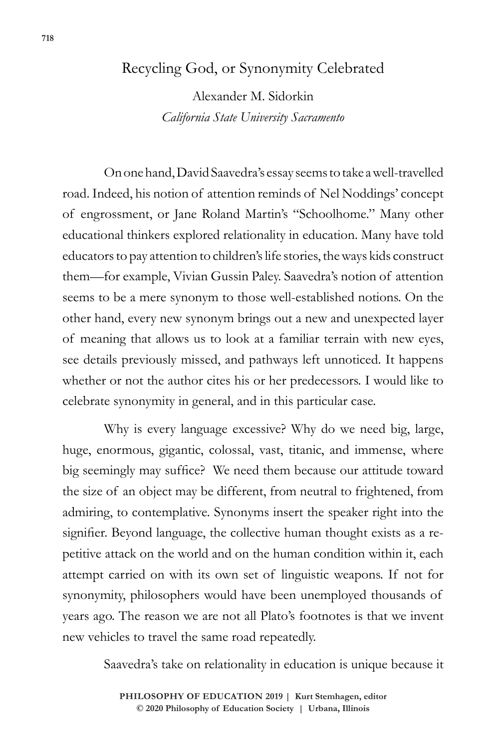## Recycling God, or Synonymity Celebrated

Alexander M. Sidorkin *California State University Sacramento*

On one hand, David Saavedra's essay seems to take a well-travelled road. Indeed, his notion of attention reminds of Nel Noddings' concept of engrossment, or Jane Roland Martin's "Schoolhome." Many other educational thinkers explored relationality in education. Many have told educators to pay attention to children's life stories, the ways kids construct them—for example, Vivian Gussin Paley. Saavedra's notion of attention seems to be a mere synonym to those well-established notions. On the other hand, every new synonym brings out a new and unexpected layer of meaning that allows us to look at a familiar terrain with new eyes, see details previously missed, and pathways left unnoticed. It happens whether or not the author cites his or her predecessors. I would like to celebrate synonymity in general, and in this particular case.

Why is every language excessive? Why do we need big, large, huge, enormous, gigantic, colossal, vast, titanic, and immense, where big seemingly may suffice? We need them because our attitude toward the size of an object may be different, from neutral to frightened, from admiring, to contemplative. Synonyms insert the speaker right into the signifier. Beyond language, the collective human thought exists as a repetitive attack on the world and on the human condition within it, each attempt carried on with its own set of linguistic weapons. If not for synonymity, philosophers would have been unemployed thousands of years ago. The reason we are not all Plato's footnotes is that we invent new vehicles to travel the same road repeatedly.

Saavedra's take on relationality in education is unique because it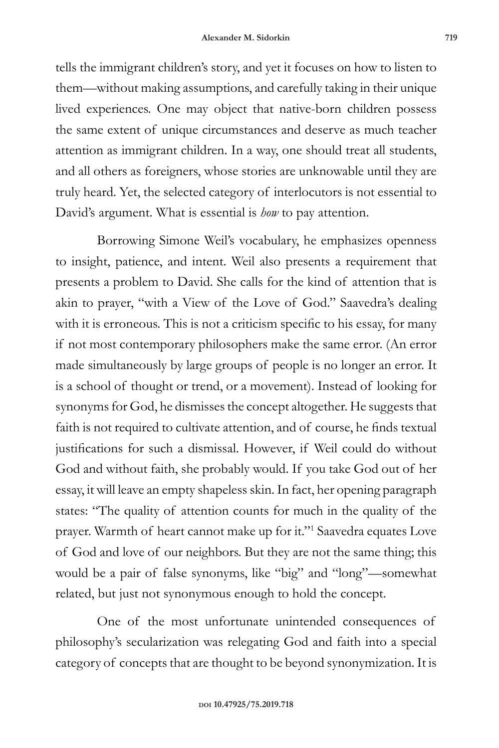tells the immigrant children's story, and yet it focuses on how to listen to them—without making assumptions, and carefully taking in their unique lived experiences. One may object that native-born children possess the same extent of unique circumstances and deserve as much teacher attention as immigrant children. In a way, one should treat all students, and all others as foreigners, whose stories are unknowable until they are truly heard. Yet, the selected category of interlocutors is not essential to David's argument. What is essential is *how* to pay attention.

Borrowing Simone Weil's vocabulary, he emphasizes openness to insight, patience, and intent. Weil also presents a requirement that presents a problem to David. She calls for the kind of attention that is akin to prayer, "with a View of the Love of God." Saavedra's dealing with it is erroneous. This is not a criticism specific to his essay, for many if not most contemporary philosophers make the same error. (An error made simultaneously by large groups of people is no longer an error. It is a school of thought or trend, or a movement). Instead of looking for synonyms for God, he dismisses the concept altogether. He suggests that faith is not required to cultivate attention, and of course, he finds textual justifications for such a dismissal. However, if Weil could do without God and without faith, she probably would. If you take God out of her essay, it will leave an empty shapeless skin. In fact, her opening paragraph states: "The quality of attention counts for much in the quality of the prayer. Warmth of heart cannot make up for it."1 Saavedra equates Love of God and love of our neighbors. But they are not the same thing; this would be a pair of false synonyms, like "big" and "long"—somewhat related, but just not synonymous enough to hold the concept.

One of the most unfortunate unintended consequences of philosophy's secularization was relegating God and faith into a special category of concepts that are thought to be beyond synonymization. It is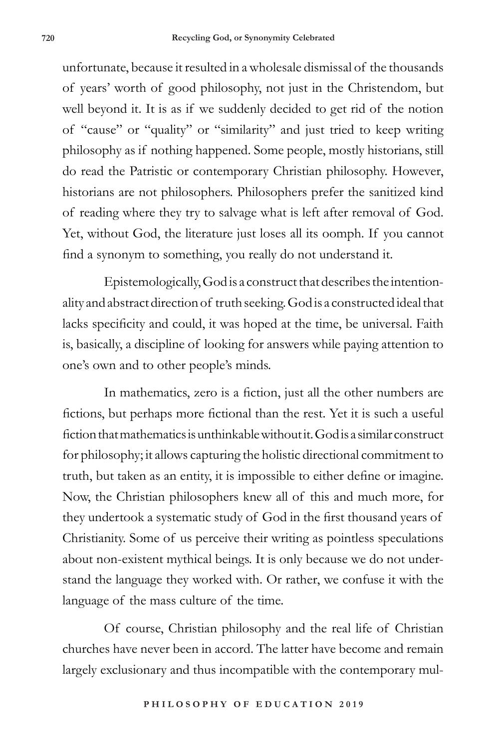unfortunate, because it resulted in a wholesale dismissal of the thousands of years' worth of good philosophy, not just in the Christendom, but well beyond it. It is as if we suddenly decided to get rid of the notion of "cause" or "quality" or "similarity" and just tried to keep writing philosophy as if nothing happened. Some people, mostly historians, still do read the Patristic or contemporary Christian philosophy. However, historians are not philosophers. Philosophers prefer the sanitized kind of reading where they try to salvage what is left after removal of God. Yet, without God, the literature just loses all its oomph. If you cannot find a synonym to something, you really do not understand it.

Epistemologically, God is a construct that describes the intentionality and abstract direction of truth seeking. God is a constructed ideal that lacks specificity and could, it was hoped at the time, be universal. Faith is, basically, a discipline of looking for answers while paying attention to one's own and to other people's minds.

In mathematics, zero is a fiction, just all the other numbers are fictions, but perhaps more fictional than the rest. Yet it is such a useful fiction that mathematics is unthinkable without it. God is a similar construct for philosophy; it allows capturing the holistic directional commitment to truth, but taken as an entity, it is impossible to either define or imagine. Now, the Christian philosophers knew all of this and much more, for they undertook a systematic study of God in the first thousand years of Christianity. Some of us perceive their writing as pointless speculations about non-existent mythical beings. It is only because we do not understand the language they worked with. Or rather, we confuse it with the language of the mass culture of the time.

Of course, Christian philosophy and the real life of Christian churches have never been in accord. The latter have become and remain largely exclusionary and thus incompatible with the contemporary mul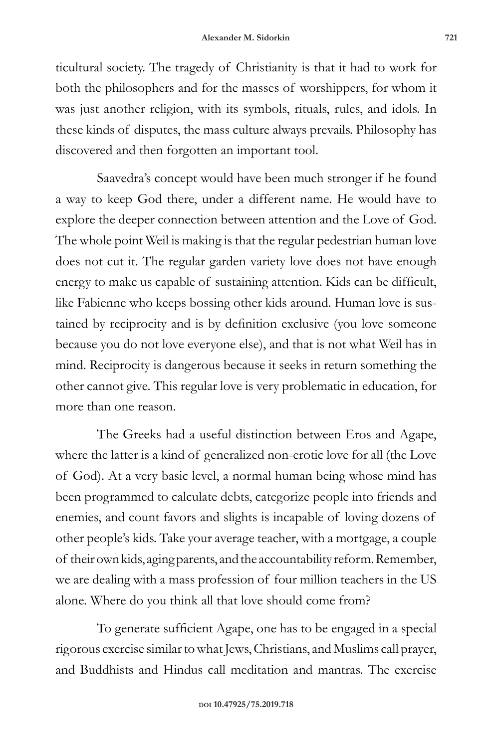ticultural society. The tragedy of Christianity is that it had to work for both the philosophers and for the masses of worshippers, for whom it was just another religion, with its symbols, rituals, rules, and idols. In these kinds of disputes, the mass culture always prevails. Philosophy has discovered and then forgotten an important tool.

Saavedra's concept would have been much stronger if he found a way to keep God there, under a different name. He would have to explore the deeper connection between attention and the Love of God. The whole point Weil is making is that the regular pedestrian human love does not cut it. The regular garden variety love does not have enough energy to make us capable of sustaining attention. Kids can be difficult, like Fabienne who keeps bossing other kids around. Human love is sustained by reciprocity and is by definition exclusive (you love someone because you do not love everyone else), and that is not what Weil has in mind. Reciprocity is dangerous because it seeks in return something the other cannot give. This regular love is very problematic in education, for more than one reason.

The Greeks had a useful distinction between Eros and Agape, where the latter is a kind of generalized non-erotic love for all (the Love of God). At a very basic level, a normal human being whose mind has been programmed to calculate debts, categorize people into friends and enemies, and count favors and slights is incapable of loving dozens of other people's kids. Take your average teacher, with a mortgage, a couple of their own kids, aging parents, and the accountability reform. Remember, we are dealing with a mass profession of four million teachers in the US alone. Where do you think all that love should come from?

To generate sufficient Agape, one has to be engaged in a special rigorous exercise similar to what Jews, Christians, and Muslims call prayer, and Buddhists and Hindus call meditation and mantras. The exercise